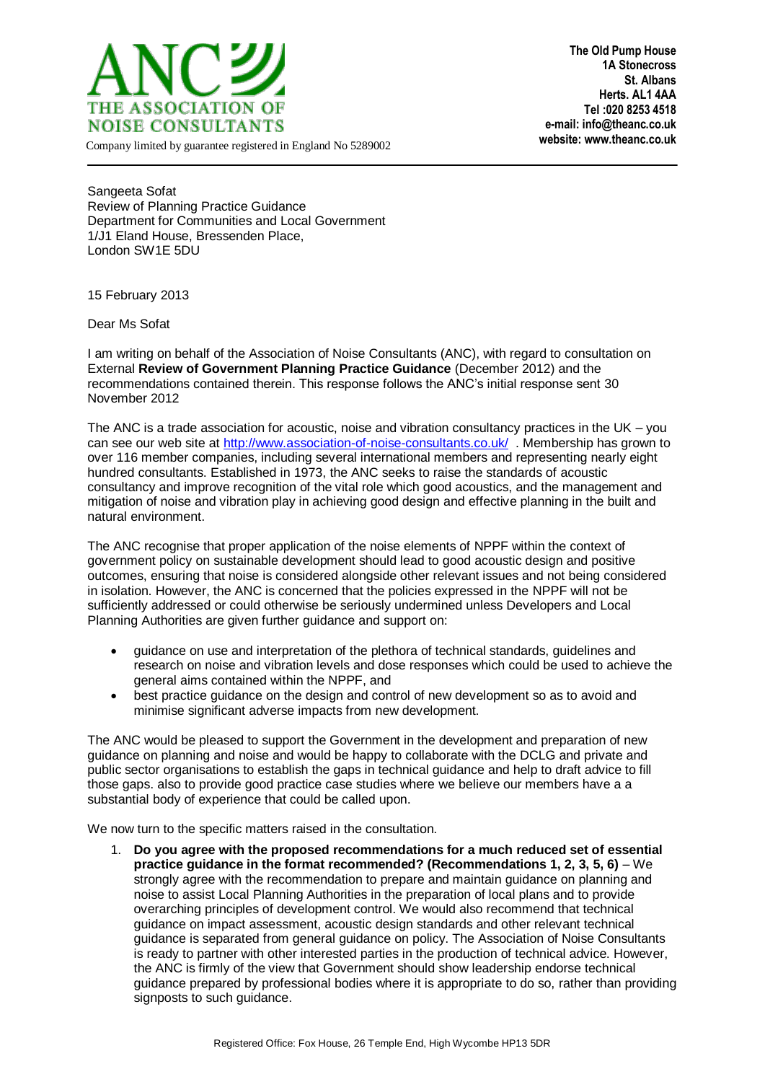

**The Old Pump House 1A Stonecross St. Albans Herts. AL1 4AA Tel :020 8253 4518 e-mail: info@theanc.co.uk**

Company limited by guarantee registered in England No 5289002

Sangeeta Sofat Review of Planning Practice Guidance Department for Communities and Local Government 1/J1 Eland House, Bressenden Place, London SW1E 5DU

15 February 2013

Dear Ms Sofat

I am writing on behalf of the Association of Noise Consultants (ANC), with regard to consultation on External **Review of Government Planning Practice Guidance** (December 2012) and the recommendations contained therein. This response follows the ANC's initial response sent 30 November 2012

The ANC is a trade association for acoustic, noise and vibration consultancy practices in the UK – you can see our web site a[t http://www.association-of-noise-consultants.co.uk/](http://www.association-of-noise-consultants.co.uk/) . Membership has grown to over 116 member companies, including several international members and representing nearly eight hundred consultants. Established in 1973, the ANC seeks to raise the standards of acoustic consultancy and improve recognition of the vital role which good acoustics, and the management and mitigation of noise and vibration play in achieving good design and effective planning in the built and natural environment.

The ANC recognise that proper application of the noise elements of NPPF within the context of government policy on sustainable development should lead to good acoustic design and positive outcomes, ensuring that noise is considered alongside other relevant issues and not being considered in isolation. However, the ANC is concerned that the policies expressed in the NPPF will not be sufficiently addressed or could otherwise be seriously undermined unless Developers and Local Planning Authorities are given further guidance and support on:

- guidance on use and interpretation of the plethora of technical standards, guidelines and research on noise and vibration levels and dose responses which could be used to achieve the general aims contained within the NPPF, and
- best practice guidance on the design and control of new development so as to avoid and minimise significant adverse impacts from new development.

The ANC would be pleased to support the Government in the development and preparation of new guidance on planning and noise and would be happy to collaborate with the DCLG and private and public sector organisations to establish the gaps in technical guidance and help to draft advice to fill those gaps. also to provide good practice case studies where we believe our members have a a substantial body of experience that could be called upon.

We now turn to the specific matters raised in the consultation.

1. **Do you agree with the proposed recommendations for a much reduced set of essential practice guidance in the format recommended? (Recommendations 1, 2, 3, 5, 6)** – We strongly agree with the recommendation to prepare and maintain guidance on planning and noise to assist Local Planning Authorities in the preparation of local plans and to provide overarching principles of development control. We would also recommend that technical guidance on impact assessment, acoustic design standards and other relevant technical guidance is separated from general guidance on policy. The Association of Noise Consultants is ready to partner with other interested parties in the production of technical advice. However, the ANC is firmly of the view that Government should show leadership endorse technical guidance prepared by professional bodies where it is appropriate to do so, rather than providing signposts to such guidance.